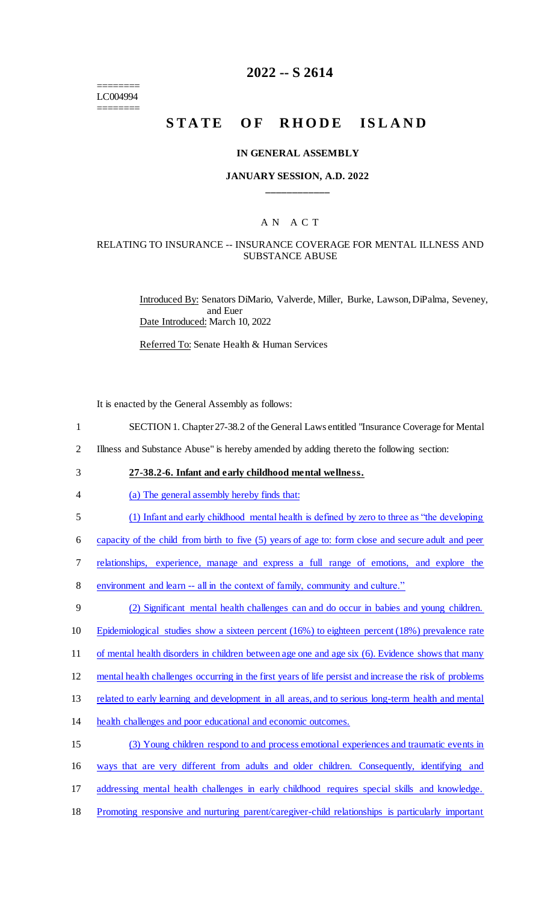======== LC004994 ========

## **2022 -- S 2614**

# STATE OF RHODE ISLAND

#### **IN GENERAL ASSEMBLY**

#### **JANUARY SESSION, A.D. 2022 \_\_\_\_\_\_\_\_\_\_\_\_**

## A N A C T

## RELATING TO INSURANCE -- INSURANCE COVERAGE FOR MENTAL ILLNESS AND SUBSTANCE ABUSE

Introduced By: Senators DiMario, Valverde, Miller, Burke, Lawson, DiPalma, Seveney, and Euer Date Introduced: March 10, 2022

Referred To: Senate Health & Human Services

It is enacted by the General Assembly as follows:

- 1 SECTION 1. Chapter 27-38.2 of the General Laws entitled "Insurance Coverage for Mental
- 2 Illness and Substance Abuse" is hereby amended by adding thereto the following section:
- 3 **27-38.2-6. Infant and early childhood mental wellness.**
- 4 (a) The general assembly hereby finds that:
- 5 (1) Infant and early childhood mental health is defined by zero to three as "the developing

6 capacity of the child from birth to five (5) years of age to: form close and secure adult and peer

- 7 relationships, experience, manage and express a full range of emotions, and explore the
- 8 environment and learn -- all in the context of family, community and culture."

9 (2) Significant mental health challenges can and do occur in babies and young children.

- 10 Epidemiological studies show a sixteen percent (16%) to eighteen percent (18%) prevalence rate
- 11 of mental health disorders in children between age one and age six (6). Evidence shows that many
- 12 mental health challenges occurring in the first years of life persist and increase the risk of problems
- 13 related to early learning and development in all areas, and to serious long-term health and mental
- 14 health challenges and poor educational and economic outcomes.
- 15 (3) Young children respond to and process emotional experiences and traumatic events in
- 16 ways that are very different from adults and older children. Consequently, identifying and
- 17 addressing mental health challenges in early childhood requires special skills and knowledge.
- 18 Promoting responsive and nurturing parent/caregiver-child relationships is particularly important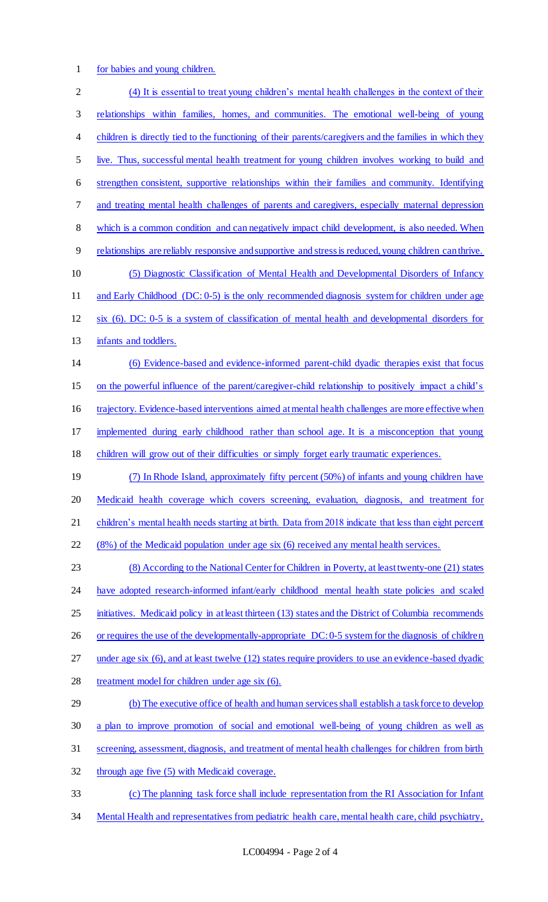for babies and young children.

 (4) It is essential to treat young children's mental health challenges in the context of their relationships within families, homes, and communities. The emotional well-being of young 4 children is directly tied to the functioning of their parents/caregivers and the families in which they live. Thus, successful mental health treatment for young children involves working to build and strengthen consistent, supportive relationships within their families and community. Identifying and treating mental health challenges of parents and caregivers, especially maternal depression which is a common condition and can negatively impact child development, is also needed. When relationships are reliably responsive and supportive and stress is reduced, young children can thrive. (5) Diagnostic Classification of Mental Health and Developmental Disorders of Infancy 11 and Early Childhood (DC: 0-5) is the only recommended diagnosis system for children under age six (6). DC: 0-5 is a system of classification of mental health and developmental disorders for infants and toddlers. (6) Evidence-based and evidence-informed parent-child dyadic therapies exist that focus on the powerful influence of the parent/caregiver-child relationship to positively impact a child's trajectory. Evidence-based interventions aimed at mental health challenges are more effective when implemented during early childhood rather than school age. It is a misconception that young children will grow out of their difficulties or simply forget early traumatic experiences. (7) In Rhode Island, approximately fifty percent (50%) of infants and young children have 20 Medicaid health coverage which covers screening, evaluation, diagnosis, and treatment for 21 children's mental health needs starting at birth. Data from 2018 indicate that less than eight percent (8%) of the Medicaid population under age six (6) received any mental health services. (8) According to the National Center for Children in Poverty, at least twenty-one (21) states 24 have adopted research-informed infant/early childhood mental health state policies and scaled 25 initiatives. Medicaid policy in at least thirteen (13) states and the District of Columbia recommends 26 or requires the use of the developmentally-appropriate DC: 0-5 system for the diagnosis of children 27 under age six (6), and at least twelve (12) states require providers to use an evidence-based dyadic treatment model for children under age six (6). (b) The executive office of health and human services shall establish a task force to develop a plan to improve promotion of social and emotional well-being of young children as well as screening, assessment, diagnosis, and treatment of mental health challenges for children from birth through age five (5) with Medicaid coverage. (c) The planning task force shall include representation from the RI Association for Infant 34 Mental Health and representatives from pediatric health care, mental health care, child psychiatry,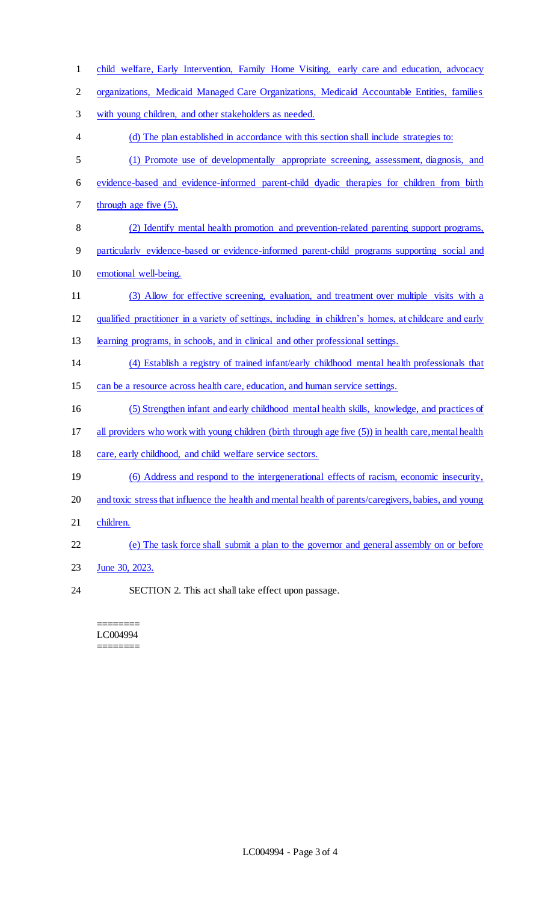| $\mathbf{1}$   | child welfare, Early Intervention, Family Home Visiting, early care and education, advocacy            |
|----------------|--------------------------------------------------------------------------------------------------------|
| $\overline{2}$ | organizations, Medicaid Managed Care Organizations, Medicaid Accountable Entities, families            |
| 3              | with young children, and other stakeholders as needed.                                                 |
| 4              | (d) The plan established in accordance with this section shall include strategies to:                  |
| 5              | (1) Promote use of developmentally appropriate screening, assessment, diagnosis, and                   |
| 6              | evidence-based and evidence-informed parent-child dyadic therapies for children from birth             |
| 7              | through age five (5).                                                                                  |
| 8              | (2) Identify mental health promotion and prevention-related parenting support programs,                |
| 9              | particularly evidence-based or evidence-informed parent-child programs supporting social and           |
| 10             | emotional well-being.                                                                                  |
| 11             | (3) Allow for effective screening, evaluation, and treatment over multiple visits with a               |
| 12             | qualified practitioner in a variety of settings, including in children's homes, at childcare and early |
| 13             | learning programs, in schools, and in clinical and other professional settings.                        |
| 14             | (4) Establish a registry of trained infant/early childhood mental health professionals that            |
| 15             | can be a resource across health care, education, and human service settings.                           |
| 16             | (5) Strengthen infant and early childhood mental health skills, knowledge, and practices of            |
| 17             | all providers who work with young children (birth through age five (5)) in health care, mental health  |
| 18             | care, early childhood, and child welfare service sectors.                                              |
| 19             | (6) Address and respond to the intergenerational effects of racism, economic insecurity,               |
| 20             | and toxic stress that influence the health and mental health of parents/caregivers, babies, and young  |
| 21             | children.                                                                                              |
| 22             | (e) The task force shall submit a plan to the governor and general assembly on or before               |
| 23             | June 30, 2023.                                                                                         |
| 24             | SECTION 2. This act shall take effect upon passage.                                                    |

======== LC004994 ========